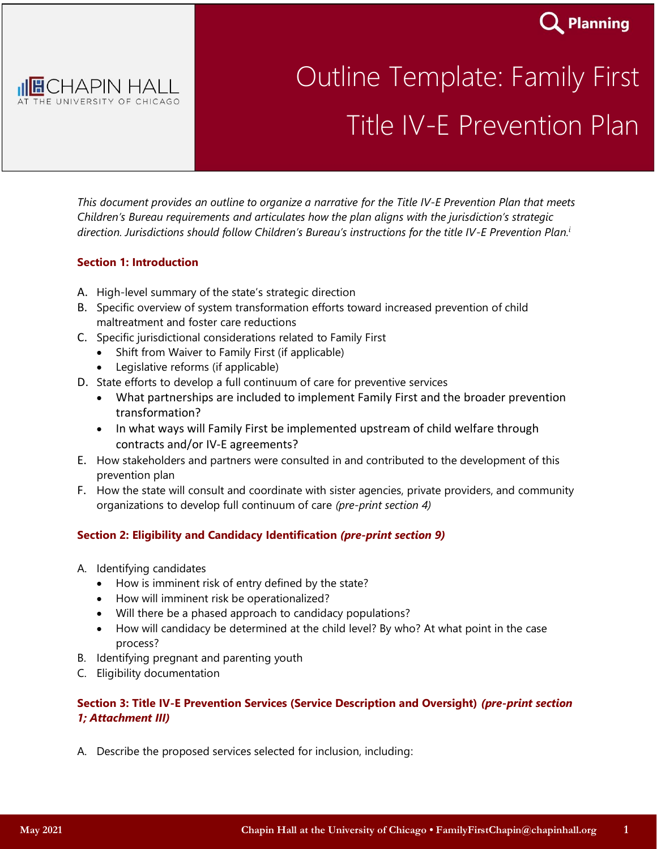# $Q$  Planning



# Outline Template: Family First Title IV-E Prevention Plan

*This document provides an outline to organize a narrative for the Title IV-E Prevention Plan that meets Children's Bureau requirements and articulates how the plan aligns with the jurisdiction's strategic direction. Jurisdictions should follow Children's Bureau's instructions for the title IV-E Prevention Plan.<sup>i</sup>* 

#### **Section 1: Introduction**

- A. High-level summary of the state's strategic direction
- B. Specific overview of system transformation efforts toward increased prevention of child maltreatment and foster care reductions
- C. Specific jurisdictional considerations related to Family First
	- Shift from Waiver to Family First (if applicable)
	- Legislative reforms (if applicable)
- D. State efforts to develop a full continuum of care for preventive services
	- What partnerships are included to implement Family First and the broader prevention transformation?
	- In what ways will Family First be implemented upstream of child welfare through contracts and/or IV-E agreements?
- E. How stakeholders and partners were consulted in and contributed to the development of this prevention plan
- F. How the state will consult and coordinate with sister agencies, private providers, and community organizations to develop full continuum of care *(pre-print section 4)*

#### **Section 2: Eligibility and Candidacy Identification** *(pre-print section 9)*

- A. Identifying candidates
	- How is imminent risk of entry defined by the state?
	- How will imminent risk be operationalized?
	- Will there be a phased approach to candidacy populations?
	- How will candidacy be determined at the child level? By who? At what point in the case process?
- B. Identifying pregnant and parenting youth
- C. Eligibility documentation

#### **Section 3: Title IV-E Prevention Services (Service Description and Oversight)** *(pre-print section 1; Attachment III)*

A. Describe the proposed services selected for inclusion, including: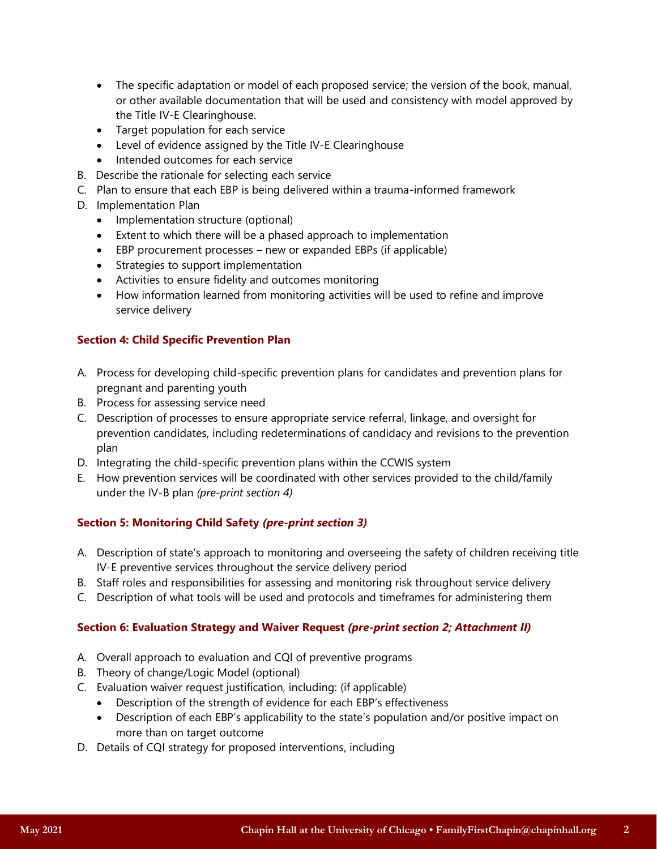- The specific adaptation or model of each proposed service; the version of the book, manual, or other available documentation that will be used and consistency with model approved by the Title IV-E Clearinghouse.
- Target population for each service
- Level of evidence assigned by the Title IV-E Clearinghouse
- Intended outcomes for each service
- B. Describe the rationale for selecting each service
- C. Plan to ensure that each EBP is being delivered within a trauma-informed framework
- D. Implementation Plan
	- Implementation structure (optional)
	- Extent to which there will be a phased approach to implementation
	- EBP procurement processes new or expanded EBPs (if applicable)
	- Strategies to support implementation
	- Activities to ensure fidelity and outcomes monitoring
	- How information learned from monitoring activities will be used to refine and improve service delivery

## **Section 4: Child Specific Prevention Plan**

- A. Process for developing child-specific prevention plans for candidates and prevention plans for pregnant and parenting youth
- B. Process for assessing service need
- C. Description of processes to ensure appropriate service referral, linkage, and oversight for prevention candidates, including redeterminations of candidacy and revisions to the prevention plan
- D. Integrating the child-specific prevention plans within the CCWIS system
- E. How prevention services will be coordinated with other services provided to the child/family under the IV-B plan *(pre-print section 4)*

# **Section 5: Monitoring Child Safety** *(pre-print section 3)*

- A. Description of state's approach to monitoring and overseeing the safety of children receiving title IV-E preventive services throughout the service delivery period
- B. Staff roles and responsibilities for assessing and monitoring risk throughout service delivery
- C. Description of what tools will be used and protocols and timeframes for administering them

# **Section 6: Evaluation Strategy and Waiver Request** *(pre-print section 2; Attachment II)*

- A. Overall approach to evaluation and CQI of preventive programs
- B. Theory of change/Logic Model (optional)
- C. Evaluation waiver request justification, including: (if applicable)
	- Description of the strength of evidence for each EBP's effectiveness
	- Description of each EBP's applicability to the state's population and/or positive impact on more than on target outcome
- D. Details of CQI strategy for proposed interventions, including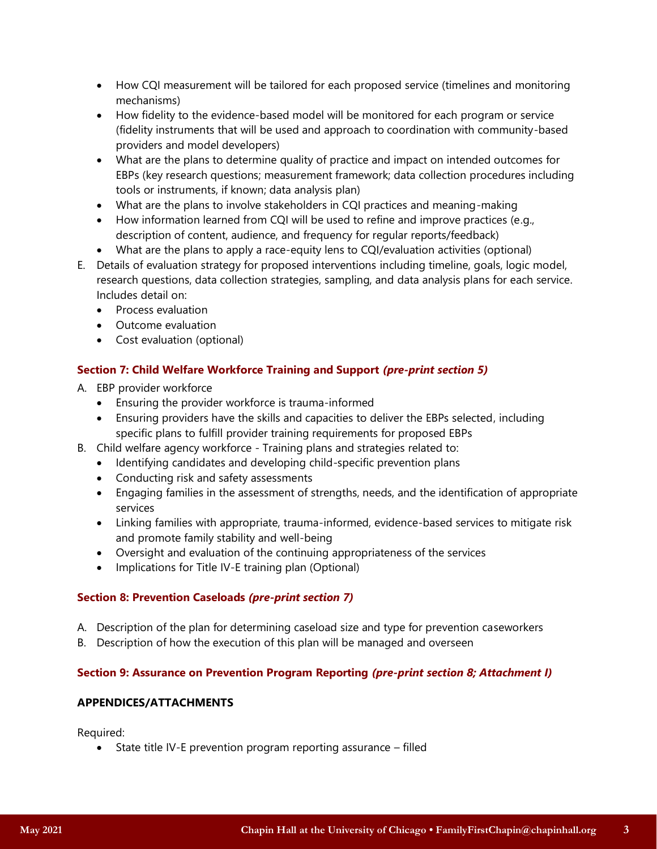- How CQI measurement will be tailored for each proposed service (timelines and monitoring mechanisms)
- How fidelity to the evidence-based model will be monitored for each program or service (fidelity instruments that will be used and approach to coordination with community-based providers and model developers)
- What are the plans to determine quality of practice and impact on intended outcomes for EBPs (key research questions; measurement framework; data collection procedures including tools or instruments, if known; data analysis plan)
- What are the plans to involve stakeholders in CQI practices and meaning-making
- How information learned from CQI will be used to refine and improve practices (e.g., description of content, audience, and frequency for regular reports/feedback)
- What are the plans to apply a race-equity lens to CQI/evaluation activities (optional)
- E. Details of evaluation strategy for proposed interventions including timeline, goals, logic model, research questions, data collection strategies, sampling, and data analysis plans for each service. Includes detail on:
	- Process evaluation
	- Outcome evaluation
	- Cost evaluation (optional)

## **Section 7: Child Welfare Workforce Training and Support** *(pre-print section 5)*

- A. EBP provider workforce
	- Ensuring the provider workforce is trauma-informed
	- Ensuring providers have the skills and capacities to deliver the EBPs selected, including specific plans to fulfill provider training requirements for proposed EBPs
- B. Child welfare agency workforce Training plans and strategies related to:
	- Identifying candidates and developing child-specific prevention plans
	- Conducting risk and safety assessments
	- Engaging families in the assessment of strengths, needs, and the identification of appropriate services
	- Linking families with appropriate, trauma-informed, evidence-based services to mitigate risk and promote family stability and well-being
	- Oversight and evaluation of the continuing appropriateness of the services
	- Implications for Title IV-E training plan (Optional)

#### **Section 8: Prevention Caseloads** *(pre-print section 7)*

- A. Description of the plan for determining caseload size and type for prevention caseworkers
- B. Description of how the execution of this plan will be managed and overseen

# **Section 9: Assurance on Prevention Program Reporting** *(pre-print section 8; Attachment I)*

#### **APPENDICES/ATTACHMENTS**

Required:

• State title IV-E prevention program reporting assurance – filled